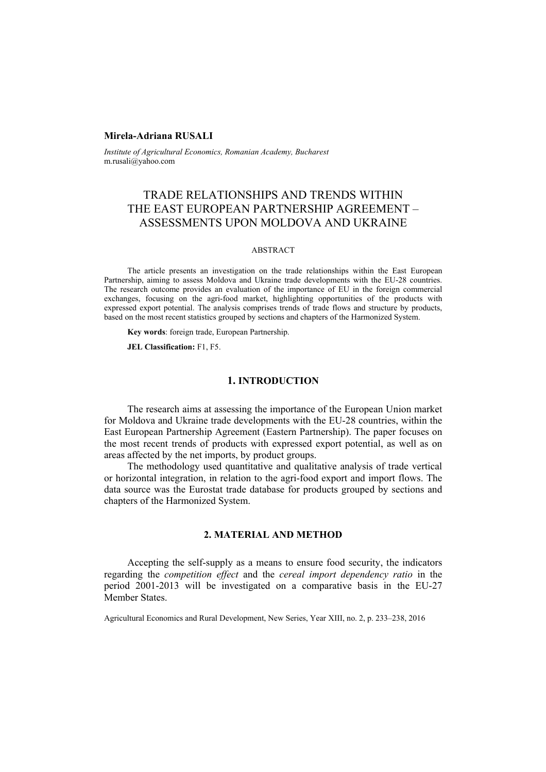### **Mirela-Adriana RUSALI**

*Institute of Agricultural Economics, Romanian Academy, Bucharest*  m.rusali@yahoo.com

# TRADE RELATIONSHIPS AND TRENDS WITHIN THE EAST EUROPEAN PARTNERSHIP AGREEMENT – ASSESSMENTS UPON MOLDOVA AND UKRAINE

#### ABSTRACT

The article presents an investigation on the trade relationships within the East European Partnership, aiming to assess Moldova and Ukraine trade developments with the EU-28 countries. The research outcome provides an evaluation of the importance of EU in the foreign commercial exchanges, focusing on the agri-food market, highlighting opportunities of the products with expressed export potential. The analysis comprises trends of trade flows and structure by products, based on the most recent statistics grouped by sections and chapters of the Harmonized System.

**Key words**: foreign trade, European Partnership.

**JEL Classification:** F1, F5.

#### **1. INTRODUCTION**

The research aims at assessing the importance of the European Union market for Moldova and Ukraine trade developments with the EU-28 countries, within the East European Partnership Agreement (Eastern Partnership). The paper focuses on the most recent trends of products with expressed export potential, as well as on areas affected by the net imports, by product groups.

The methodology used quantitative and qualitative analysis of trade vertical or horizontal integration, in relation to the agri-food export and import flows. The data source was the Eurostat trade database for products grouped by sections and chapters of the Harmonized System.

## **2. MATERIAL AND METHOD**

Accepting the self-supply as a means to ensure food security, the indicators regarding the *competition effect* and the *cereal import dependency ratio* in the period 2001-2013 will be investigated on a comparative basis in the EU-27 Member States.

Agricultural Economics and Rural Development, New Series, Year XIII, no. 2, p. 233–238, 2016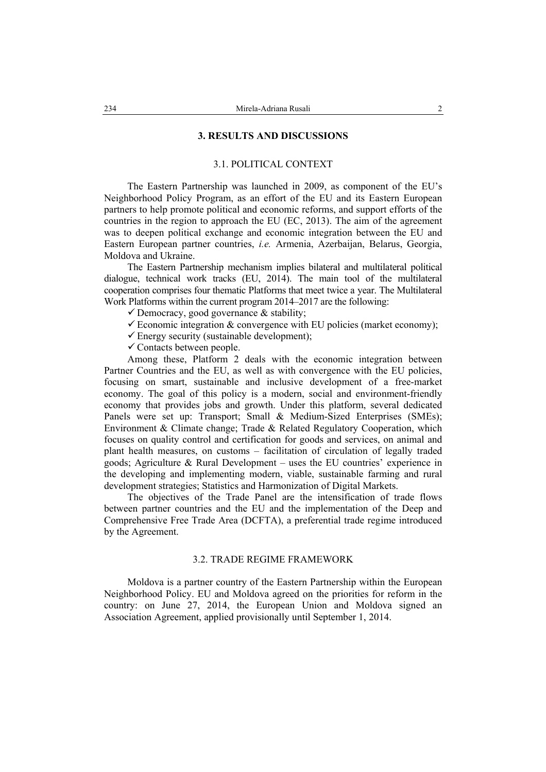#### **3. RESULTS AND DISCUSSIONS**

#### 3.1. POLITICAL CONTEXT

The Eastern Partnership was launched in 2009, as component of the EU's Neighborhood Policy Program, as an effort of the EU and its Eastern European partners to help promote political and economic reforms, and support efforts of the countries in the region to approach the EU (EC, 2013). The aim of the agreement was to deepen political exchange and economic integration between the EU and Eastern European partner countries, *i.e.* Armenia, Azerbaijan, Belarus, Georgia, Moldova and Ukraine.

The Eastern Partnership mechanism implies bilateral and multilateral political dialogue, technical work tracks (EU, 2014). The main tool of the multilateral cooperation comprises four thematic Platforms that meet twice a year. The Multilateral Work Platforms within the current program 2014–2017 are the following:

 $\checkmark$  Democracy, good governance & stability;

- $\checkmark$  Economic integration & convergence with EU policies (market economy);
- $\checkmark$  Energy security (sustainable development);
- $\checkmark$  Contacts between people.

Among these, Platform 2 deals with the economic integration between Partner Countries and the EU, as well as with convergence with the EU policies, focusing on smart, sustainable and inclusive development of a free-market economy. The goal of this policy is a modern, social and environment-friendly economy that provides jobs and growth. Under this platform, several dedicated Panels were set up: Transport; Small & Medium-Sized Enterprises (SMEs); Environment & Climate change; Trade & Related Regulatory Cooperation, which focuses on quality control and certification for goods and services, on animal and plant health measures, on customs – facilitation of circulation of legally traded goods; Agriculture & Rural Development – uses the EU countries' experience in the developing and implementing modern, viable, sustainable farming and rural development strategies; Statistics and Harmonization of Digital Markets.

The objectives of the Trade Panel are the intensification of trade flows between partner countries and the EU and the implementation of the Deep and Comprehensive Free Trade Area (DCFTA), a preferential trade regime introduced by the Agreement.

### 3.2. TRADE REGIME FRAMEWORK

Moldova is a partner country of the Eastern Partnership within the European Neighborhood Policy. EU and Moldova agreed on the priorities for reform in the country: on June 27, 2014, the European Union and Moldova signed an Association Agreement, applied provisionally until September 1, 2014.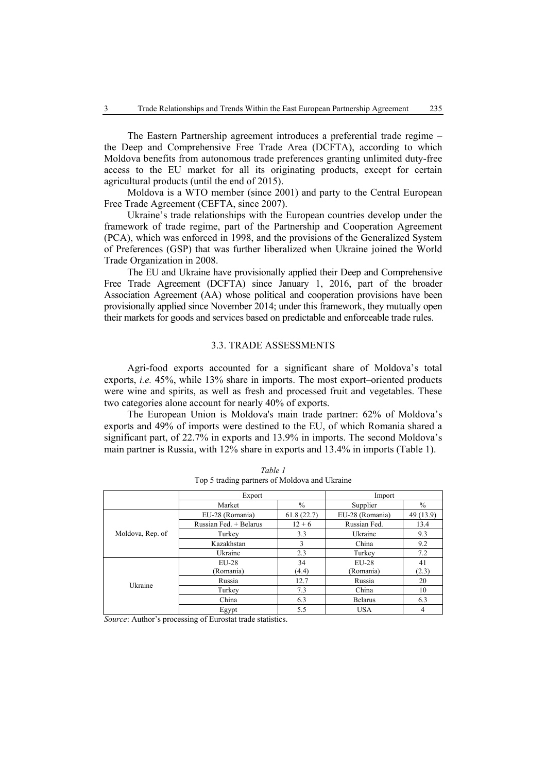The Eastern Partnership agreement introduces a preferential trade regime – the Deep and Comprehensive Free Trade Area (DCFTA), according to which Moldova benefits from autonomous trade preferences granting unlimited duty-free access to the EU market for all its originating products, except for certain agricultural products (until the end of 2015).

Moldova is a WTO member (since 2001) and party to the Central European Free Trade Agreement (CEFTA, since 2007).

Ukraine's trade relationships with the European countries develop under the framework of trade regime, part of the Partnership and Cooperation Agreement (PCA), which was enforced in 1998, and the provisions of the Generalized System of Preferences (GSP) that was further liberalized when Ukraine joined the World Trade Organization in 2008.

The EU and Ukraine have provisionally applied their Deep and Comprehensive Free Trade Agreement (DCFTA) since January 1, 2016, part of the broader Association Agreement (AA) whose political and cooperation provisions have been provisionally applied since November 2014; under this framework, they mutually open their markets for goods and services based on predictable and enforceable trade rules.

### 3.3. TRADE ASSESSMENTS

Agri-food exports accounted for a significant share of Moldova's total exports, *i.e.* 45%, while 13% share in imports. The most export–oriented products were wine and spirits, as well as fresh and processed fruit and vegetables. These two categories alone account for nearly 40% of exports.

The European Union is Moldova's main trade partner: 62% of Moldova's exports and 49% of imports were destined to the EU, of which Romania shared a significant part, of 22.7% in exports and 13.9% in imports. The second Moldova's main partner is Russia, with 12% share in exports and 13.4% in imports (Table 1).

|                  | Export                   | Import       |                 |               |
|------------------|--------------------------|--------------|-----------------|---------------|
|                  | $\%$<br>Market           |              | Supplier        | $\frac{0}{0}$ |
| Moldova, Rep. of | EU-28 (Romania)          | 61.8(22.7)   | EU-28 (Romania) | 49 (13.9)     |
|                  | Russian Fed. + Belarus   | $12 + 6$     | Russian Fed.    | 13.4          |
|                  | 3.3<br>Ukraine<br>Turkey |              | 9.3             |               |
|                  | Kazakhstan               | China<br>3   |                 | 9.2           |
|                  | Ukraine                  | 2.3          | Turkey          | 7.2           |
| Ukraine          | $EII-28$                 | 34           | $EU-28$         | 41            |
|                  | (Romania)                | (4.4)        | (Romania)       | (2.3)         |
|                  | Russia                   | 12.7         | Russia          | 20            |
|                  | Turkey                   | 7.3<br>China |                 | 10            |
|                  | China                    | 6.3          | <b>Belarus</b>  | 6.3           |
|                  | Egypt                    | 5.5          | <b>USA</b>      | 4             |

*Table 1*  Top 5 trading partners of Moldova and Ukraine

*Source*: Author's processing of Eurostat trade statistics.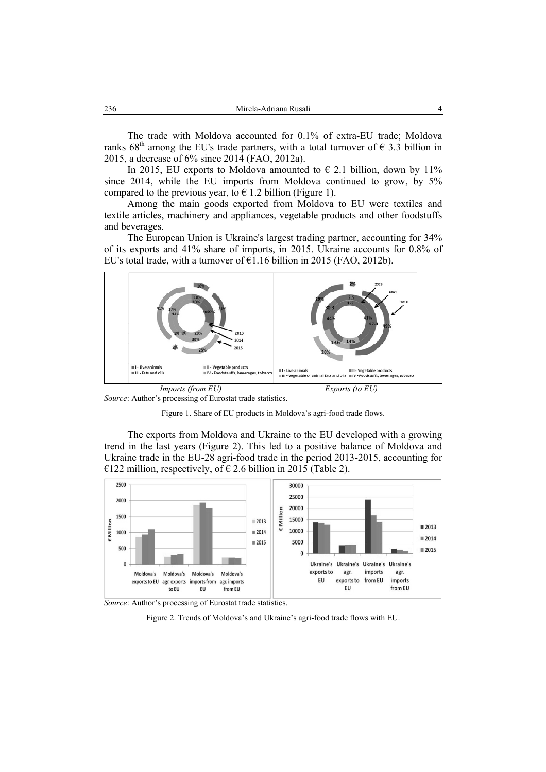The trade with Moldova accounted for 0.1% of extra-EU trade; Moldova ranks  $68<sup>th</sup>$  among the EU's trade partners, with a total turnover of  $\epsilon$  3.3 billion in 2015, a decrease of 6% since 2014 (FAO, 2012a).

In 2015, EU exports to Moldova amounted to  $\epsilon$  2.1 billion, down by 11% since 2014, while the EU imports from Moldova continued to grow, by 5% compared to the previous year, to  $\epsilon$  1.2 billion (Figure 1).

Among the main goods exported from Moldova to EU were textiles and textile articles, machinery and appliances, vegetable products and other foodstuffs and beverages.

The European Union is Ukraine's largest trading partner, accounting for 34% of its exports and 41% share of imports, in 2015. Ukraine accounts for 0.8% of EU's total trade, with a turnover of  $E1.16$  billion in 2015 (FAO, 2012b).



*Source*: Author's processing of Eurostat trade statistics.



The exports from Moldova and Ukraine to the EU developed with a growing trend in the last years (Figure 2). This led to a positive balance of Moldova and Ukraine trade in the EU-28 agri-food trade in the period 2013-2015, accounting for €122 million, respectively, of €2.6 billion in 2015 (Table 2).



*Source*: Author's processing of Eurostat trade statistics.

Figure 2. Trends of Moldova's and Ukraine's agri-food trade flows with EU.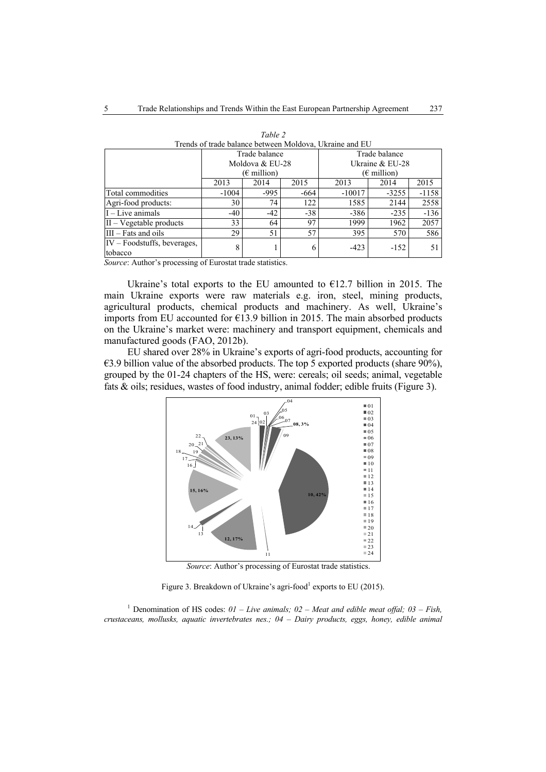| Trends of trade balance between inforderal exhame and EO |                              |        |       |                              |         |         |  |  |
|----------------------------------------------------------|------------------------------|--------|-------|------------------------------|---------|---------|--|--|
|                                                          | Trade balance                |        |       | Trade balance                |         |         |  |  |
|                                                          | Moldova & EU-28              |        |       | Ukraine & EU-28              |         |         |  |  |
|                                                          | $(\epsilon \text{ million})$ |        |       | $(\epsilon \text{ million})$ |         |         |  |  |
|                                                          | 2013                         | 2014   | 2015  | 2013                         | 2014    | 2015    |  |  |
| Total commodities                                        | $-1004$                      | $-995$ | -664  | $-10017$                     | $-3255$ | $-1158$ |  |  |
| Agri-food products:                                      | 30                           | 74     | 122   | 1585                         | 2144    | 2558    |  |  |
| $I$ – Live animals                                       | $-40$                        | $-42$  | $-38$ | $-386$                       | $-235$  | $-136$  |  |  |
| $II - Vegetable products$                                | 33                           | 64     | 97    | 1999                         | 1962    | 2057    |  |  |
| $III - Fats$ and oils                                    | 29                           | 51     | 57    | 395                          | 570     | 586     |  |  |
| $IV - Foodstuffs, beverages,$<br>tobacco                 | 8                            |        | 6     | $-423$                       | $-152$  | 51      |  |  |

| Table 2                                                 |
|---------------------------------------------------------|
| Trends of trade balance between Moldova, Ukraine and EU |

*Source*: Author's processing of Eurostat trade statistics.

Ukraine's total exports to the EU amounted to  $E12.7$  billion in 2015. The main Ukraine exports were raw materials e.g. iron, steel, mining products, agricultural products, chemical products and machinery. As well, Ukraine's imports from EU accounted for €13.9 billion in 2015. The main absorbed products on the Ukraine's market were: machinery and transport equipment, chemicals and manufactured goods (FAO, 2012b).

EU shared over 28% in Ukraine's exports of agri-food products, accounting for €3.9 billion value of the absorbed products. The top 5 exported products (share 90%), grouped by the 01-24 chapters of the HS, were: cereals; oil seeds; animal, vegetable fats & oils; residues, wastes of food industry, animal fodder; edible fruits (Figure 3).



 *Source*: Author's processing of Eurostat trade statistics.

Figure 3. Breakdown of Ukraine's agri-food<sup>1</sup> exports to EU (2015).

<sup>1</sup> Denomination of HS codes:  $01 - Live animals$ ;  $02 - Meat$  and edible meat offal;  $03 - Fish$ , *crustaceans, mollusks, aquatic invertebrates nes.; 04 – Dairy products, eggs, honey, edible animal*